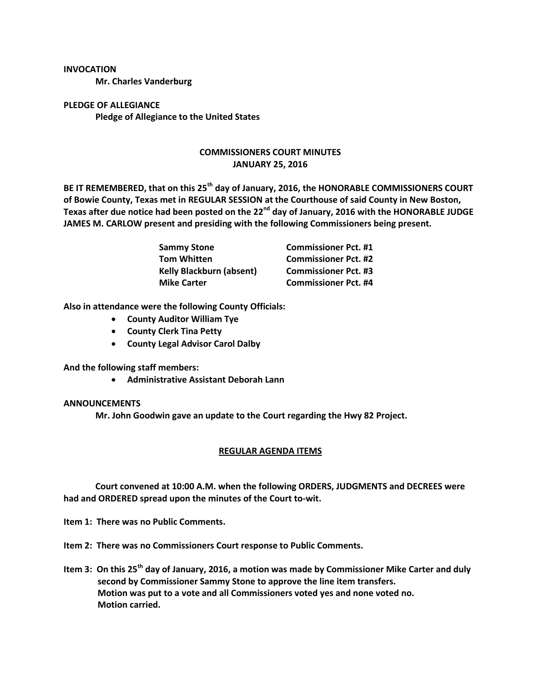**INVOCATION**

**Mr. Charles Vanderburg**

**PLEDGE OF ALLEGIANCE Pledge of Allegiance to the United States**

## **COMMISSIONERS COURT MINUTES JANUARY 25, 2016**

**BE IT REMEMBERED, that on this 25th day of January, 2016, the HONORABLE COMMISSIONERS COURT of Bowie County, Texas met in REGULAR SESSION at the Courthouse of said County in New Boston, Texas after due notice had been posted on the 22nd day of January, 2016 with the HONORABLE JUDGE JAMES M. CARLOW present and presiding with the following Commissioners being present.**

| <b>Sammy Stone</b>              | <b>Commissioner Pct. #1</b> |
|---------------------------------|-----------------------------|
| <b>Tom Whitten</b>              | <b>Commissioner Pct. #2</b> |
| <b>Kelly Blackburn (absent)</b> | <b>Commissioner Pct. #3</b> |
| <b>Mike Carter</b>              | <b>Commissioner Pct. #4</b> |

**Also in attendance were the following County Officials:**

- **County Auditor William Tye**
- **County Clerk Tina Petty**
- **County Legal Advisor Carol Dalby**

**And the following staff members:**

**Administrative Assistant Deborah Lann**

## **ANNOUNCEMENTS**

**Mr. John Goodwin gave an update to the Court regarding the Hwy 82 Project.**

## **REGULAR AGENDA ITEMS**

**Court convened at 10:00 A.M. when the following ORDERS, JUDGMENTS and DECREES were had and ORDERED spread upon the minutes of the Court to-wit.**

**Item 1: There was no Public Comments.**

**Item 2: There was no Commissioners Court response to Public Comments.**

**Item 3: On this 25th day of January, 2016, a motion was made by Commissioner Mike Carter and duly second by Commissioner Sammy Stone to approve the line item transfers. Motion was put to a vote and all Commissioners voted yes and none voted no. Motion carried.**